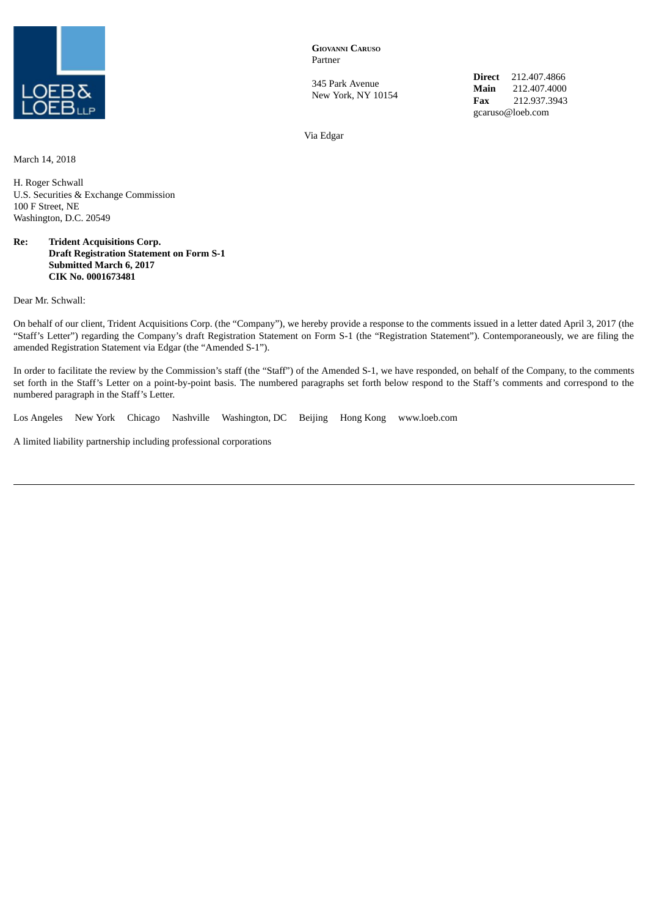

**GIOVANNI CARUSO** Partner

345 Park Avenue New York, NY 10154 **Direct** 212.407.4866 **Main** 212.407.4000 **Fax** 212.937.3943 gcaruso@loeb.com

Via Edgar

March 14, 2018

H. Roger Schwall U.S. Securities & Exchange Commission 100 F Street, NE Washington, D.C. 20549

## **Re: Trident Acquisitions Corp. Draft Registration Statement on Form S-1 Submitted March 6, 2017 CIK No. 0001673481**

Dear Mr. Schwall:

On behalf of our client, Trident Acquisitions Corp. (the "Company"), we hereby provide a response to the comments issued in a letter dated April 3, 2017 (the "Staff's Letter") regarding the Company's draft Registration Statement on Form S-1 (the "Registration Statement"). Contemporaneously, we are filing the amended Registration Statement via Edgar (the "Amended S-1").

In order to facilitate the review by the Commission's staff (the "Staff") of the Amended S-1, we have responded, on behalf of the Company, to the comments set forth in the Staff's Letter on a point-by-point basis. The numbered paragraphs set forth below respond to the Staff's comments and correspond to the numbered paragraph in the Staff's Letter.

Los Angeles New York Chicago Nashville Washington, DC Beijing Hong Kong www.loeb.com

A limited liability partnership including professional corporations